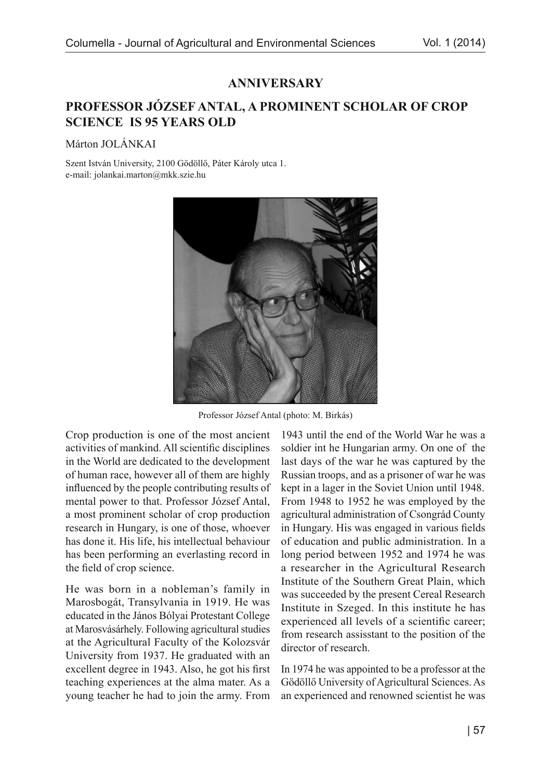## **ANNIVERSARY**

## PROFESSOR JÓZSEF ANTAL, A PROMINENT SCHOLAR OF CROP **SCIENCE IS 95 YEARS OLD**

Márton JOLÁNKAI

Szent István University, 2100 Gödöllő, Páter Károly utca 1. e-mail: jolankai.marton@mkk.szie.hu



Professor József Antal (photo: M. Birkás)

Crop production is one of the most ancient activities of mankind. All scientific disciplines in the World are dedicated to the development of human race, however all of them are highly influenced by the people contributing results of mental power to that. Professor József Antal, a most prominent scholar of crop production research in Hungary, is one of those, whoever has done it. His life, his intellectual behaviour has been performing an everlasting record in the field of crop science.

He was born in a nobleman's family in Marosbogát, Transylvania in 1919. He was educated in the János Bólyai Protestant College at Marosvásárhely. Following agricultural studies at the Agricultural Faculty of the Kolozsvár University from 1937. He graduated with an excellent degree in 1943. Also, he got his first teaching experiences at the alma mater. As a young teacher he had to join the army. From

1943 until the end of the World War he was a soldier int he Hungarian army. On one of the last days of the war he was captured by the Russian troops, and as a prisoner of war he was kept in a lager in the Soviet Union until 1948. From 1948 to 1952 he was employed by the agricultural administration of Csongrád County in Hungary. His was engaged in various fields of education and public administration. In a long period between 1952 and 1974 he was a researcher in the Agricultural Research Institute of the Southern Great Plain, which was succeeded by the present Cereal Research Institute in Szeged. In this institute he has experienced all levels of a scientific career; from research assisstant to the position of the director of research.

In 1974 he was appointed to be a professor at the Gödöllő University of Agricultural Sciences. As an experienced and renowned scientist he was